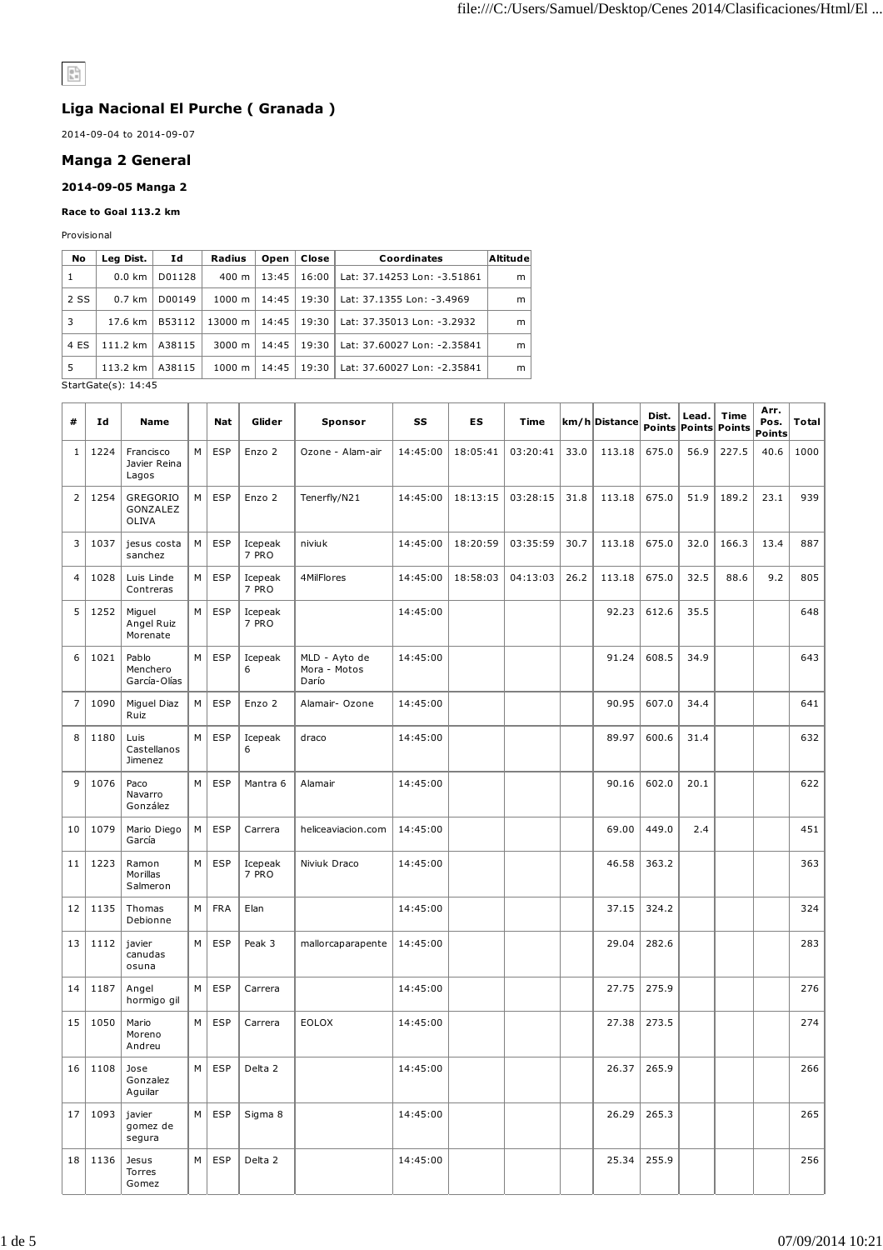# $\mathop{\mathbb{R}}\limits^{\text{\textsf{D}}-1}$

# **Liga Nacional El Purche ( Granada )**

2014-09-04 to 2014-09-07

# **Manga 2 General**

### **2014-09-05 Manga 2**

#### **Race to Goal 113.2 km**

Provisional

| No   | Leg Dist.         | Ιd     | Radius             | Open  | Close | Coordinates                 | Altitude |
|------|-------------------|--------|--------------------|-------|-------|-----------------------------|----------|
| -1   | $0.0 \text{ km}$  | D01128 | $400 \text{ m}$    | 13:45 | 16:00 | Lat: 37.14253 Lon: -3.51861 | m        |
| 2 SS | $0.7 \text{ km}$  | D00149 | $1000 \; \text{m}$ | 14:45 | 19:30 | Lat: 37.1355 Lon: -3.4969   | m        |
| 3    | $17.6 \text{ km}$ | B53112 | 13000 m            | 14:45 | 19:30 | Lat: 37.35013 Lon: -3.2932  | m        |
| 4 ES | 111.2 km          | A38115 | 3000 m             | 14:45 | 19:30 | Lat: 37.60027 Lon: -2.35841 | m        |
| 5    | 113.2 km          | A38115 | $1000 \; \text{m}$ | 14:45 | 19:30 | Lat: 37.60027 Lon: -2.35841 | m        |

StartGate(s): 14:45

| #              | Ιd          | Name                               |   | Nat        | Glider           | Sponsor                                | SS       | ES       | Time     |      | km/h Distance | Dist. | Lead. | Time<br>Points Points Points | Arr.<br>Pos.<br><b>Points</b> | Total |
|----------------|-------------|------------------------------------|---|------------|------------------|----------------------------------------|----------|----------|----------|------|---------------|-------|-------|------------------------------|-------------------------------|-------|
| 1              | 1224        | Francisco<br>Javier Reina<br>Lagos | M | <b>ESP</b> | Enzo 2           | Ozone - Alam-air                       | 14:45:00 | 18:05:41 | 03:20:41 | 33.0 | 113.18        | 675.0 | 56.9  | 227.5                        | 40.6                          | 1000  |
| $\overline{2}$ | 1254        | GREGORIO<br>GONZALEZ<br>OLIVA      | M | <b>ESP</b> | Enzo 2           | Tenerfly/N21                           | 14:45:00 | 18:13:15 | 03:28:15 | 31.8 | 113.18        | 675.0 | 51.9  | 189.2                        | 23.1                          | 939   |
| 3              | 1037        | jesus costa<br>sanchez             | М | <b>ESP</b> | Icepeak<br>7 PRO | niviuk                                 | 14:45:00 | 18:20:59 | 03:35:59 | 30.7 | 113.18        | 675.0 | 32.0  | 166.3                        | 13.4                          | 887   |
| $\overline{4}$ | 1028        | Luis Linde<br>Contreras            | М | <b>ESP</b> | Icepeak<br>7 PRO | 4MilFlores                             | 14:45:00 | 18:58:03 | 04:13:03 | 26.2 | 113.18        | 675.0 | 32.5  | 88.6                         | 9.2                           | 805   |
| 5              | 1252        | Miguel<br>Angel Ruiz<br>Morenate   | M | <b>ESP</b> | Icepeak<br>7 PRO |                                        | 14:45:00 |          |          |      | 92.23         | 612.6 | 35.5  |                              |                               | 648   |
| 6              | 1021        | Pablo<br>Menchero<br>García-Olías  | M | <b>ESP</b> | Icepeak<br>6     | MLD - Ayto de<br>Mora - Motos<br>Darío | 14:45:00 |          |          |      | 91.24         | 608.5 | 34.9  |                              |                               | 643   |
| $\overline{7}$ | 1090        | Miguel Diaz<br>Ruiz                | M | <b>ESP</b> | Enzo 2           | Alamair- Ozone                         | 14:45:00 |          |          |      | 90.95         | 607.0 | 34.4  |                              |                               | 641   |
| 8              | 1180        | Luis<br>Castellanos<br>Jimenez     | M | <b>ESP</b> | Icepeak<br>6     | draco                                  | 14:45:00 |          |          |      | 89.97         | 600.6 | 31.4  |                              |                               | 632   |
| 9              | 1076        | Paco<br>Navarro<br>González        | M | <b>ESP</b> | Mantra 6         | Alamair                                | 14:45:00 |          |          |      | 90.16         | 602.0 | 20.1  |                              |                               | 622   |
| 10             | 1079        | Mario Diego<br>García              | М | <b>ESP</b> | Carrera          | heliceaviacion.com                     | 14:45:00 |          |          |      | 69.00         | 449.0 | 2.4   |                              |                               | 451   |
| 11             | 1223        | Ramon<br>Morillas<br>Salmeron      | M | <b>ESP</b> | Icepeak<br>7 PRO | Niviuk Draco                           | 14:45:00 |          |          |      | 46.58         | 363.2 |       |                              |                               | 363   |
| 12             | 1135        | Thomas<br>Debionne                 | M | <b>FRA</b> | Elan             |                                        | 14:45:00 |          |          |      | 37.15         | 324.2 |       |                              |                               | 324   |
| 13             | 1112        | javier<br>canudas<br>osuna         | M | <b>ESP</b> | Peak 3           | mallorcaparapente                      | 14:45:00 |          |          |      | 29.04         | 282.6 |       |                              |                               | 283   |
| 14             | 1187        | Angel<br>hormigo gil               | M | <b>ESP</b> | Carrera          |                                        | 14:45:00 |          |          |      | 27.75         | 275.9 |       |                              |                               | 276   |
| 15             | 1050        | Mario<br>Moreno<br>Andreu          | M | <b>ESP</b> | Carrera          | <b>EOLOX</b>                           | 14:45:00 |          |          |      | 27.38         | 273.5 |       |                              |                               | 274   |
|                | $16$   1108 | Jose<br>Gonzalez<br>Aguilar        | M | ESP        | Delta 2          |                                        | 14:45:00 |          |          |      | 26.37         | 265.9 |       |                              |                               | 266   |
| 17             | 1093        | javier<br>gomez de<br>segura       | M | <b>ESP</b> | Sigma 8          |                                        | 14:45:00 |          |          |      | 26.29         | 265.3 |       |                              |                               | 265   |
| 18             | 1136        | Jesus<br>Torres<br>Gomez           | M | <b>ESP</b> | Delta 2          |                                        | 14:45:00 |          |          |      | 25.34         | 255.9 |       |                              |                               | 256   |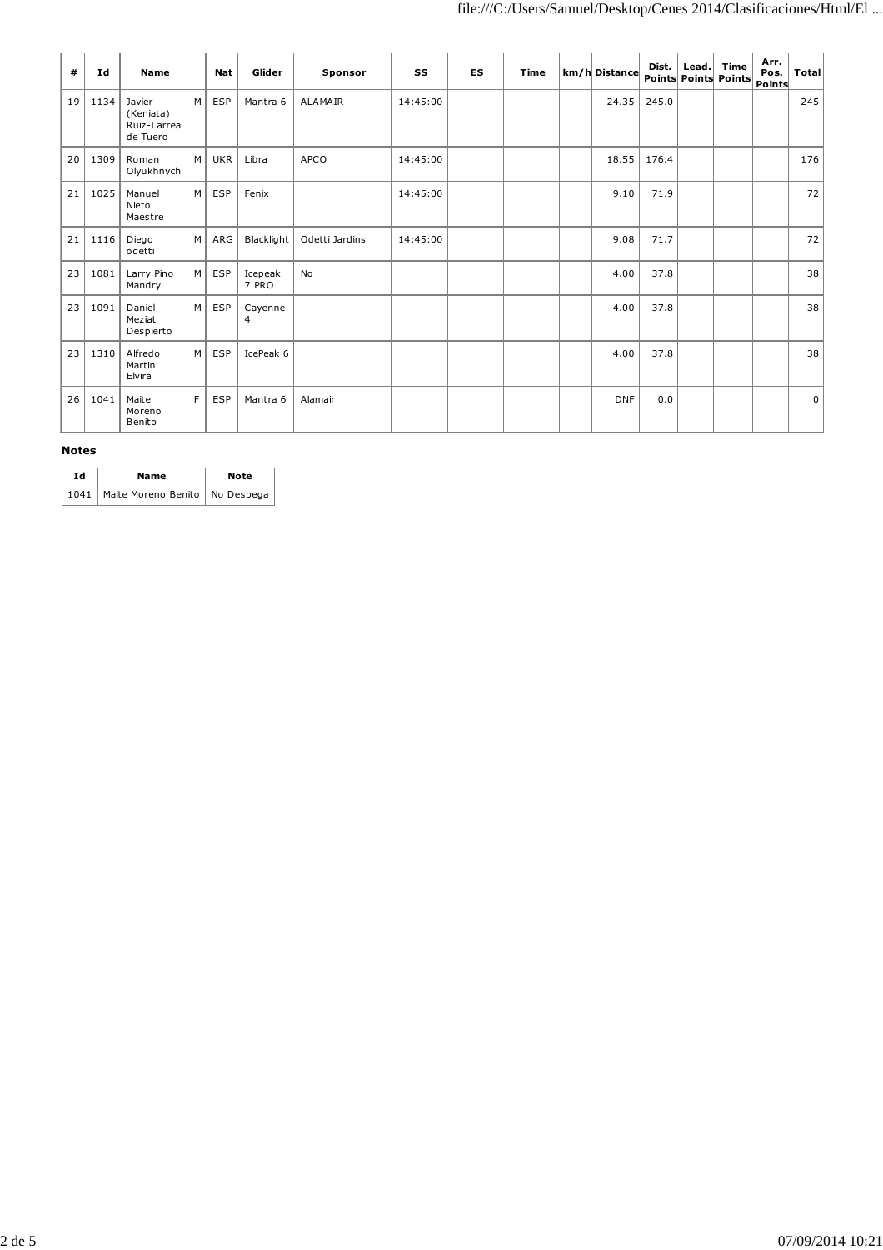| #  | Ιd   | <b>Name</b>                                    |   | Nat        | Glider           | Sponsor        | SS       | <b>ES</b> | Time | km/h Distance | Dist. | Lead. | Time<br>Points Points Points | Arr.<br>Pos.<br>Points | Total          |
|----|------|------------------------------------------------|---|------------|------------------|----------------|----------|-----------|------|---------------|-------|-------|------------------------------|------------------------|----------------|
| 19 | 1134 | Javier<br>(Keniata)<br>Ruiz-Larrea<br>de Tuero | M | <b>ESP</b> | Mantra 6         | <b>ALAMAIR</b> | 14:45:00 |           |      | 24.35         | 245.0 |       |                              |                        | 245            |
| 20 | 1309 | Roman<br>Olyukhnych                            | M | <b>UKR</b> | Libra            | APCO           | 14:45:00 |           |      | 18.55         | 176.4 |       |                              |                        | 176            |
| 21 | 1025 | Manuel<br>Nieto<br>Maestre                     | M | <b>ESP</b> | Fenix            |                | 14:45:00 |           |      | 9.10          | 71.9  |       |                              |                        | 72             |
| 21 | 1116 | Diego<br>odetti                                | M | ARG        | Blacklight       | Odetti Jardins | 14:45:00 |           |      | 9.08          | 71.7  |       |                              |                        | 72             |
| 23 | 1081 | Larry Pino<br>Mandry                           | M | <b>ESP</b> | Icepeak<br>7 PRO | No             |          |           |      | 4.00          | 37.8  |       |                              |                        | 38             |
| 23 | 1091 | Daniel<br>Meziat<br>Despierto                  | M | <b>ESP</b> | Cayenne<br>4     |                |          |           |      | 4.00          | 37.8  |       |                              |                        | 38             |
| 23 | 1310 | Alfredo<br>Martin<br>Elvira                    | M | <b>ESP</b> | IcePeak 6        |                |          |           |      | 4.00          | 37.8  |       |                              |                        | 38             |
| 26 | 1041 | Maite<br>Moreno<br>Benito                      | F | ESP        | Mantra 6         | Alamair        |          |           |      | <b>DNF</b>    | 0.0   |       |                              |                        | 0 <sup>1</sup> |

#### **Notes**

| Td | Name                                    | Note |
|----|-----------------------------------------|------|
|    | 1041   Maite Moreno Benito   No Despega |      |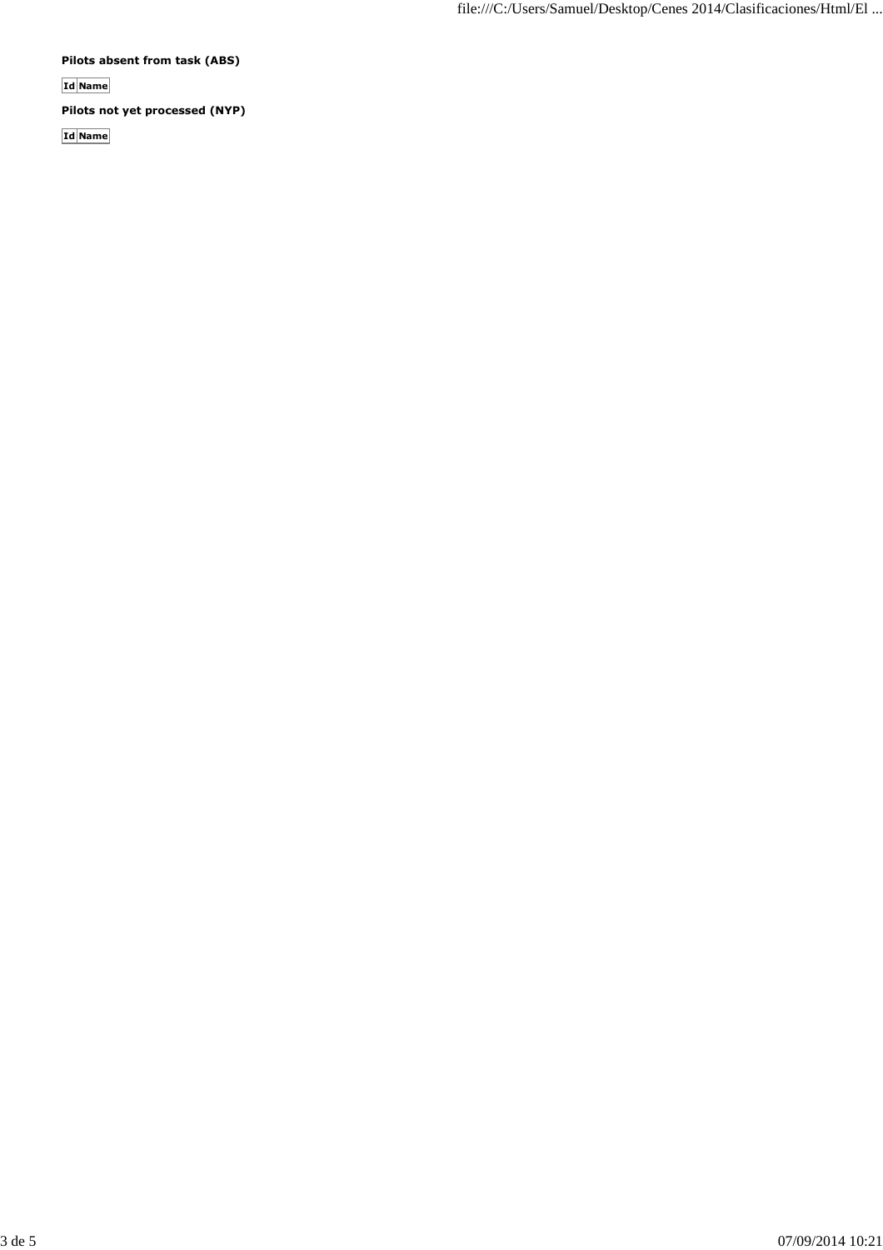**Pilots absent from task (ABS)**

**Id Name**

**Pilots not yet processed (NYP)**

**Id Name**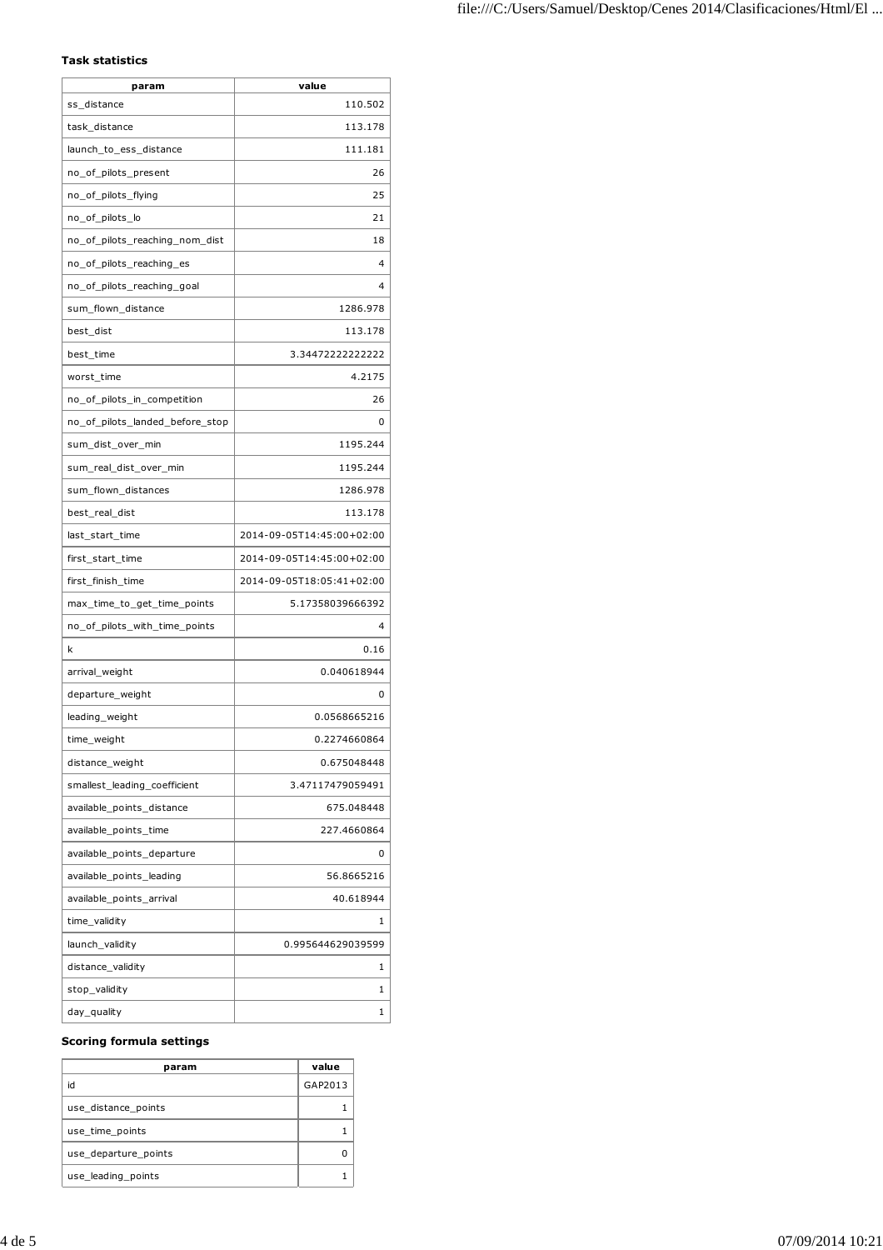# **Task statistics**

| param                           | value                     |
|---------------------------------|---------------------------|
| ss_distance                     | 110.502                   |
| task_distance                   | 113.178                   |
| launch_to_ess_distance          | 111.181                   |
| no_of_pilots_present            | 26                        |
| no_of_pilots_flying             | 25                        |
| no_of_pilots_lo                 | 21                        |
| no_of_pilots_reaching_nom_dist  | 18                        |
| no_of_pilots_reaching_es        | 4                         |
| no_of_pilots_reaching_goal      | 4                         |
| sum_flown_distance              | 1286.978                  |
| best_dist                       | 113.178                   |
| best_time                       | 3.34472222222222          |
| worst_time                      | 4.2175                    |
| no_of_pilots_in_competition     | 26                        |
| no_of_pilots_landed_before_stop | 0                         |
| sum_dist_over_min               | 1195.244                  |
| sum_real_dist_over_min          | 1195.244                  |
| sum_flown_distances             | 1286.978                  |
| best_real_dist                  | 113.178                   |
| last_start_time                 | 2014-09-05T14:45:00+02:00 |
| first_start_time                | 2014-09-05T14:45:00+02:00 |
| first_finish_time               | 2014-09-05T18:05:41+02:00 |
| max_time_to_get_time_points     | 5.17358039666392          |
| no_of_pilots_with_time_points   | 4                         |
| k                               | 0.16                      |
| arrival_weight                  | 0.040618944               |
| departure_weight                | 0                         |
| leading_weight                  | 0.0568665216              |
| time_weight                     | 0.2274660864              |
| distance_weight                 | 0.675048448               |
| smallest leading coefficient    | 3.47117479059491          |
| available_points_distance       | 675.048448                |
| available_points_time           | 227.4660864               |
| available_points_departure      | 0                         |
| available_points_leading        | 56.8665216                |
| available_points_arrival        | 40.618944                 |
| time_validity                   | 1                         |
| launch_validity                 | 0.995644629039599         |
| distance_validity               | 1                         |
| stop_validity                   | 1                         |
| day_quality                     | 1                         |

#### **Scoring formula settings**

| param                | value   |
|----------------------|---------|
| id                   | GAP2013 |
| use distance points  |         |
| use time points      |         |
| use_departure_points |         |
| use leading points   |         |